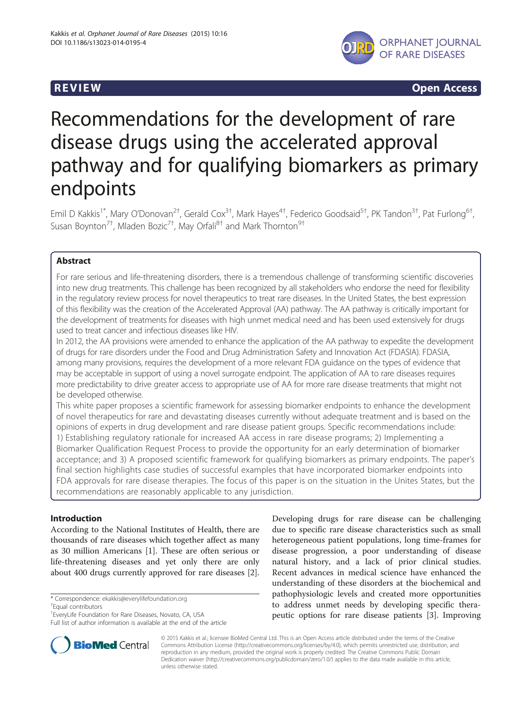

**REVIEW CONSTRUCTION CONSTRUCTION CONSTRUCTS** 

# Recommendations for the development of rare disease drugs using the accelerated approval pathway and for qualifying biomarkers as primary endpoints

Emil D Kakkis<sup>1\*</sup>, Mary O'Donovan<sup>2†</sup>, Gerald Cox<sup>3†</sup>, Mark Hayes<sup>4†</sup>, Federico Goodsaid<sup>5†</sup>, PK Tandon<sup>3†</sup>, Pat Furlong<sup>6†</sup> , Susan Boynton<sup>7†</sup>, Mladen Bozic<sup>7†</sup>, May Orfali<sup>8†</sup> and Mark Thornton<sup>9†</sup>

# Abstract

For rare serious and life-threatening disorders, there is a tremendous challenge of transforming scientific discoveries into new drug treatments. This challenge has been recognized by all stakeholders who endorse the need for flexibility in the regulatory review process for novel therapeutics to treat rare diseases. In the United States, the best expression of this flexibility was the creation of the Accelerated Approval (AA) pathway. The AA pathway is critically important for the development of treatments for diseases with high unmet medical need and has been used extensively for drugs used to treat cancer and infectious diseases like HIV.

In 2012, the AA provisions were amended to enhance the application of the AA pathway to expedite the development of drugs for rare disorders under the Food and Drug Administration Safety and Innovation Act (FDASIA). FDASIA, among many provisions, requires the development of a more relevant FDA guidance on the types of evidence that may be acceptable in support of using a novel surrogate endpoint. The application of AA to rare diseases requires more predictability to drive greater access to appropriate use of AA for more rare disease treatments that might not be developed otherwise.

This white paper proposes a scientific framework for assessing biomarker endpoints to enhance the development of novel therapeutics for rare and devastating diseases currently without adequate treatment and is based on the opinions of experts in drug development and rare disease patient groups. Specific recommendations include: 1) Establishing regulatory rationale for increased AA access in rare disease programs; 2) Implementing a Biomarker Qualification Request Process to provide the opportunity for an early determination of biomarker acceptance; and 3) A proposed scientific framework for qualifying biomarkers as primary endpoints. The paper's final section highlights case studies of successful examples that have incorporated biomarker endpoints into FDA approvals for rare disease therapies. The focus of this paper is on the situation in the Unites States, but the recommendations are reasonably applicable to any jurisdiction.

# Introduction

According to the National Institutes of Health, there are thousands of rare diseases which together affect as many as 30 million Americans [[1\]](#page-16-0). These are often serious or life-threatening diseases and yet only there are only about 400 drugs currently approved for rare diseases [\[2](#page-16-0)].

Equal contributors

Developing drugs for rare disease can be challenging due to specific rare disease characteristics such as small heterogeneous patient populations, long time-frames for disease progression, a poor understanding of disease natural history, and a lack of prior clinical studies. Recent advances in medical science have enhanced the understanding of these disorders at the biochemical and pathophysiologic levels and created more opportunities to address unmet needs by developing specific therapeutic options for rare disease patients [[3\]](#page-16-0). Improving



© 2015 Kakkis et al.; licensee BioMed Central Ltd. This is an Open Access article distributed under the terms of the Creative Commons Attribution License [\(http://creativecommons.org/licenses/by/4.0\)](http://creativecommons.org/licenses/by/4.0), which permits unrestricted use, distribution, and reproduction in any medium, provided the original work is properly credited. The Creative Commons Public Domain Dedication waiver [\(http://creativecommons.org/publicdomain/zero/1.0/](http://creativecommons.org/publicdomain/zero/1.0/)) applies to the data made available in this article, unless otherwise stated.

<sup>\*</sup> Correspondence: [ekakkis@everylifefoundation.org](mailto:ekakkis@everylifefoundation.org) †

<sup>&</sup>lt;sup>1</sup> EveryLife Foundation for Rare Diseases, Novato, CA, USA

Full list of author information is available at the end of the article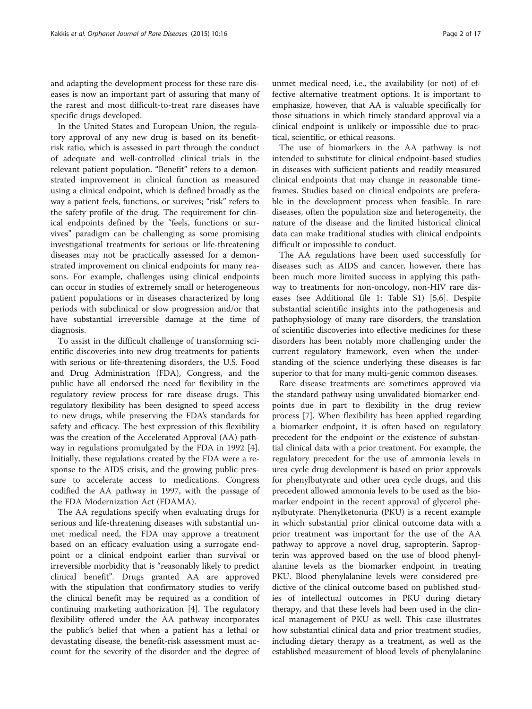and adapting the development process for these rare diseases is now an important part of assuring that many of the rarest and most difficult-to-treat rare diseases have specific drugs developed.

In the United States and European Union, the regulatory approval of any new drug is based on its benefitrisk ratio, which is assessed in part through the conduct of adequate and well-controlled clinical trials in the relevant patient population. "Benefit" refers to a demonstrated improvement in clinical function as measured using a clinical endpoint, which is defined broadly as the way a patient feels, functions, or survives; "risk" refers to the safety profile of the drug. The requirement for clinical endpoints defined by the "feels, functions or survives" paradigm can be challenging as some promising investigational treatments for serious or life-threatening diseases may not be practically assessed for a demonstrated improvement on clinical endpoints for many reasons. For example, challenges using clinical endpoints can occur in studies of extremely small or heterogeneous patient populations or in diseases characterized by long periods with subclinical or slow progression and/or that have substantial irreversible damage at the time of diagnosis.

To assist in the difficult challenge of transforming scientific discoveries into new drug treatments for patients with serious or life-threatening disorders, the U.S. Food and Drug Administration (FDA), Congress, and the public have all endorsed the need for flexibility in the regulatory review process for rare disease drugs. This regulatory flexibility has been designed to speed access to new drugs, while preserving the FDA's standards for safety and efficacy. The best expression of this flexibility was the creation of the Accelerated Approval (AA) pathway in regulations promulgated by the FDA in 1992 [\[4](#page-16-0)]. Initially, these regulations created by the FDA were a response to the AIDS crisis, and the growing public pressure to accelerate access to medications. Congress codified the AA pathway in 1997, with the passage of the FDA Modernization Act (FDAMA).

The AA regulations specify when evaluating drugs for serious and life-threatening diseases with substantial unmet medical need, the FDA may approve a treatment based on an efficacy evaluation using a surrogate endpoint or a clinical endpoint earlier than survival or irreversible morbidity that is "reasonably likely to predict clinical benefit". Drugs granted AA are approved with the stipulation that confirmatory studies to verify the clinical benefit may be required as a condition of continuing marketing authorization [[4\]](#page-16-0). The regulatory flexibility offered under the AA pathway incorporates the public's belief that when a patient has a lethal or devastating disease, the benefit-risk assessment must account for the severity of the disorder and the degree of

unmet medical need, i.e., the availability (or not) of effective alternative treatment options. It is important to emphasize, however, that AA is valuable specifically for those situations in which timely standard approval via a clinical endpoint is unlikely or impossible due to practical, scientific, or ethical reasons.

The use of biomarkers in the AA pathway is not intended to substitute for clinical endpoint-based studies in diseases with sufficient patients and readily measured clinical endpoints that may change in reasonable timeframes. Studies based on clinical endpoints are preferable in the development process when feasible. In rare diseases, often the population size and heterogeneity, the nature of the disease and the limited historical clinical data can make traditional studies with clinical endpoints difficult or impossible to conduct.

The AA regulations have been used successfully for diseases such as AIDS and cancer, however, there has been much more limited success in applying this pathway to treatments for non-oncology, non-HIV rare diseases (see Additional file [1:](#page-15-0) Table S1) [[5](#page-16-0),[6\]](#page-16-0). Despite substantial scientific insights into the pathogenesis and pathophysiology of many rare disorders, the translation of scientific discoveries into effective medicines for these disorders has been notably more challenging under the current regulatory framework, even when the understanding of the science underlying these diseases is far superior to that for many multi-genic common diseases.

Rare disease treatments are sometimes approved via the standard pathway using unvalidated biomarker endpoints due in part to flexibility in the drug review process [\[7\]](#page-16-0). When flexibility has been applied regarding a biomarker endpoint, it is often based on regulatory precedent for the endpoint or the existence of substantial clinical data with a prior treatment. For example, the regulatory precedent for the use of ammonia levels in urea cycle drug development is based on prior approvals for phenylbutyrate and other urea cycle drugs, and this precedent allowed ammonia levels to be used as the biomarker endpoint in the recent approval of glycerol phenylbutyrate. Phenylketonuria (PKU) is a recent example in which substantial prior clinical outcome data with a prior treatment was important for the use of the AA pathway to approve a novel drug, sapropterin. Sapropterin was approved based on the use of blood phenylalanine levels as the biomarker endpoint in treating PKU. Blood phenylalanine levels were considered predictive of the clinical outcome based on published studies of intellectual outcomes in PKU during dietary therapy, and that these levels had been used in the clinical management of PKU as well. This case illustrates how substantial clinical data and prior treatment studies, including dietary therapy as a treatment, as well as the established measurement of blood levels of phenylalanine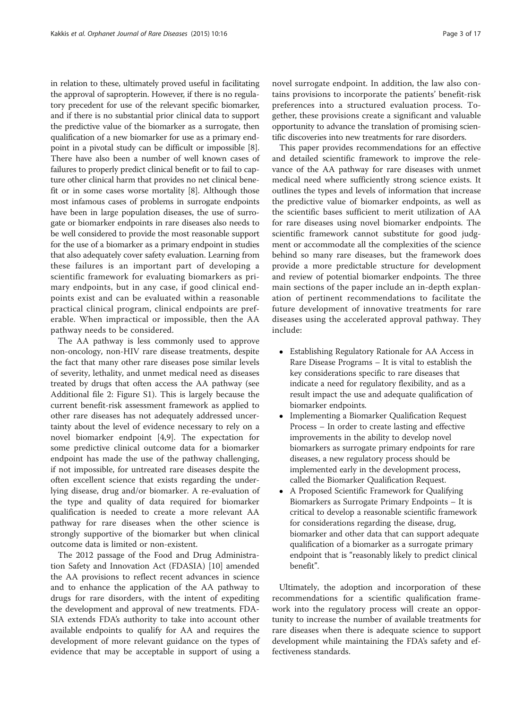in relation to these, ultimately proved useful in facilitating the approval of sapropterin. However, if there is no regulatory precedent for use of the relevant specific biomarker, and if there is no substantial prior clinical data to support the predictive value of the biomarker as a surrogate, then qualification of a new biomarker for use as a primary endpoint in a pivotal study can be difficult or impossible [[8](#page-16-0)]. There have also been a number of well known cases of failures to properly predict clinical benefit or to fail to capture other clinical harm that provides no net clinical benefit or in some cases worse mortality [[8](#page-16-0)]. Although those most infamous cases of problems in surrogate endpoints have been in large population diseases, the use of surrogate or biomarker endpoints in rare diseases also needs to be well considered to provide the most reasonable support for the use of a biomarker as a primary endpoint in studies that also adequately cover safety evaluation. Learning from these failures is an important part of developing a scientific framework for evaluating biomarkers as primary endpoints, but in any case, if good clinical endpoints exist and can be evaluated within a reasonable practical clinical program, clinical endpoints are preferable. When impractical or impossible, then the AA pathway needs to be considered.

The AA pathway is less commonly used to approve non-oncology, non-HIV rare disease treatments, despite the fact that many other rare diseases pose similar levels of severity, lethality, and unmet medical need as diseases treated by drugs that often access the AA pathway (see Additional file [2:](#page-15-0) Figure S1). This is largely because the current benefit-risk assessment framework as applied to other rare diseases has not adequately addressed uncertainty about the level of evidence necessary to rely on a novel biomarker endpoint [\[4,9](#page-16-0)]. The expectation for some predictive clinical outcome data for a biomarker endpoint has made the use of the pathway challenging, if not impossible, for untreated rare diseases despite the often excellent science that exists regarding the underlying disease, drug and/or biomarker. A re-evaluation of the type and quality of data required for biomarker qualification is needed to create a more relevant AA pathway for rare diseases when the other science is strongly supportive of the biomarker but when clinical outcome data is limited or non-existent.

The 2012 passage of the Food and Drug Administration Safety and Innovation Act (FDASIA) [[10\]](#page-16-0) amended the AA provisions to reflect recent advances in science and to enhance the application of the AA pathway to drugs for rare disorders, with the intent of expediting the development and approval of new treatments. FDA-SIA extends FDA's authority to take into account other available endpoints to qualify for AA and requires the development of more relevant guidance on the types of evidence that may be acceptable in support of using a novel surrogate endpoint. In addition, the law also contains provisions to incorporate the patients' benefit-risk preferences into a structured evaluation process. Together, these provisions create a significant and valuable opportunity to advance the translation of promising scientific discoveries into new treatments for rare disorders.

This paper provides recommendations for an effective and detailed scientific framework to improve the relevance of the AA pathway for rare diseases with unmet medical need where sufficiently strong science exists. It outlines the types and levels of information that increase the predictive value of biomarker endpoints, as well as the scientific bases sufficient to merit utilization of AA for rare diseases using novel biomarker endpoints. The scientific framework cannot substitute for good judgment or accommodate all the complexities of the science behind so many rare diseases, but the framework does provide a more predictable structure for development and review of potential biomarker endpoints. The three main sections of the paper include an in-depth explanation of pertinent recommendations to facilitate the future development of innovative treatments for rare diseases using the accelerated approval pathway. They include:

- Establishing Regulatory Rationale for AA Access in Rare Disease Programs – It is vital to establish the key considerations specific to rare diseases that indicate a need for regulatory flexibility, and as a result impact the use and adequate qualification of biomarker endpoints.
- Implementing a Biomarker Qualification Request Process – In order to create lasting and effective improvements in the ability to develop novel biomarkers as surrogate primary endpoints for rare diseases, a new regulatory process should be implemented early in the development process, called the Biomarker Qualification Request.
- A Proposed Scientific Framework for Qualifying Biomarkers as Surrogate Primary Endpoints – It is critical to develop a reasonable scientific framework for considerations regarding the disease, drug, biomarker and other data that can support adequate qualification of a biomarker as a surrogate primary endpoint that is "reasonably likely to predict clinical benefit".

Ultimately, the adoption and incorporation of these recommendations for a scientific qualification framework into the regulatory process will create an opportunity to increase the number of available treatments for rare diseases when there is adequate science to support development while maintaining the FDA's safety and effectiveness standards.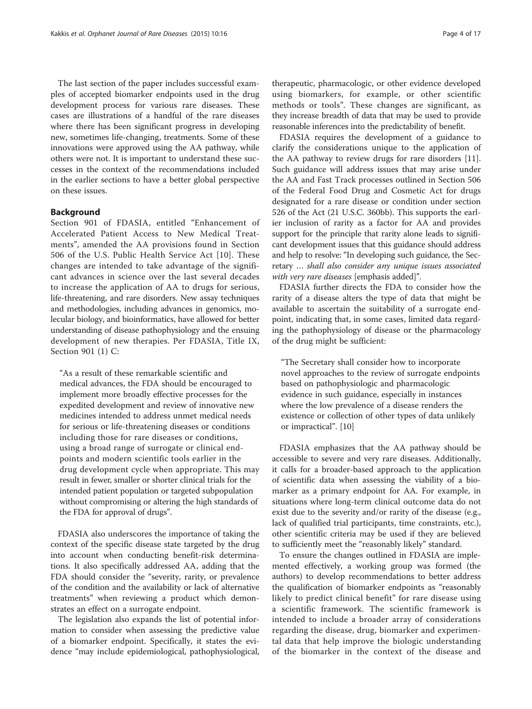The last section of the paper includes successful examples of accepted biomarker endpoints used in the drug development process for various rare diseases. These cases are illustrations of a handful of the rare diseases where there has been significant progress in developing new, sometimes life-changing, treatments. Some of these innovations were approved using the AA pathway, while others were not. It is important to understand these successes in the context of the recommendations included in the earlier sections to have a better global perspective on these issues.

# Background

Section 901 of FDASIA, entitled "Enhancement of Accelerated Patient Access to New Medical Treatments", amended the AA provisions found in Section 506 of the U.S. Public Health Service Act [[10\]](#page-16-0). These changes are intended to take advantage of the significant advances in science over the last several decades to increase the application of AA to drugs for serious, life-threatening, and rare disorders. New assay techniques and methodologies, including advances in genomics, molecular biology, and bioinformatics, have allowed for better understanding of disease pathophysiology and the ensuing development of new therapies. Per FDASIA, Title IX, Section 901 (1) C:

"As a result of these remarkable scientific and medical advances, the FDA should be encouraged to implement more broadly effective processes for the expedited development and review of innovative new medicines intended to address unmet medical needs for serious or life-threatening diseases or conditions including those for rare diseases or conditions, using a broad range of surrogate or clinical endpoints and modern scientific tools earlier in the drug development cycle when appropriate. This may result in fewer, smaller or shorter clinical trials for the intended patient population or targeted subpopulation without compromising or altering the high standards of the FDA for approval of drugs".

FDASIA also underscores the importance of taking the context of the specific disease state targeted by the drug into account when conducting benefit-risk determinations. It also specifically addressed AA, adding that the FDA should consider the "severity, rarity, or prevalence of the condition and the availability or lack of alternative treatments" when reviewing a product which demonstrates an effect on a surrogate endpoint.

The legislation also expands the list of potential information to consider when assessing the predictive value of a biomarker endpoint. Specifically, it states the evidence "may include epidemiological, pathophysiological, therapeutic, pharmacologic, or other evidence developed using biomarkers, for example, or other scientific methods or tools". These changes are significant, as they increase breadth of data that may be used to provide reasonable inferences into the predictability of benefit.

FDASIA requires the development of a guidance to clarify the considerations unique to the application of the AA pathway to review drugs for rare disorders [\[11](#page-16-0)]. Such guidance will address issues that may arise under the AA and Fast Track processes outlined in Section 506 of the Federal Food Drug and Cosmetic Act for drugs designated for a rare disease or condition under section 526 of the Act (21 U.S.C. 360bb). This supports the earlier inclusion of rarity as a factor for AA and provides support for the principle that rarity alone leads to significant development issues that this guidance should address and help to resolve: "In developing such guidance, the Secretary … shall also consider any unique issues associated with very rare diseases [emphasis added]".

FDASIA further directs the FDA to consider how the rarity of a disease alters the type of data that might be available to ascertain the suitability of a surrogate endpoint, indicating that, in some cases, limited data regarding the pathophysiology of disease or the pharmacology of the drug might be sufficient:

"The Secretary shall consider how to incorporate novel approaches to the review of surrogate endpoints based on pathophysiologic and pharmacologic evidence in such guidance, especially in instances where the low prevalence of a disease renders the existence or collection of other types of data unlikely or impractical". [[10\]](#page-16-0)

FDASIA emphasizes that the AA pathway should be accessible to severe and very rare diseases. Additionally, it calls for a broader-based approach to the application of scientific data when assessing the viability of a biomarker as a primary endpoint for AA. For example, in situations where long-term clinical outcome data do not exist due to the severity and/or rarity of the disease (e.g., lack of qualified trial participants, time constraints, etc.), other scientific criteria may be used if they are believed to sufficiently meet the "reasonably likely" standard.

To ensure the changes outlined in FDASIA are implemented effectively, a working group was formed (the authors) to develop recommendations to better address the qualification of biomarker endpoints as "reasonably likely to predict clinical benefit" for rare disease using a scientific framework. The scientific framework is intended to include a broader array of considerations regarding the disease, drug, biomarker and experimental data that help improve the biologic understanding of the biomarker in the context of the disease and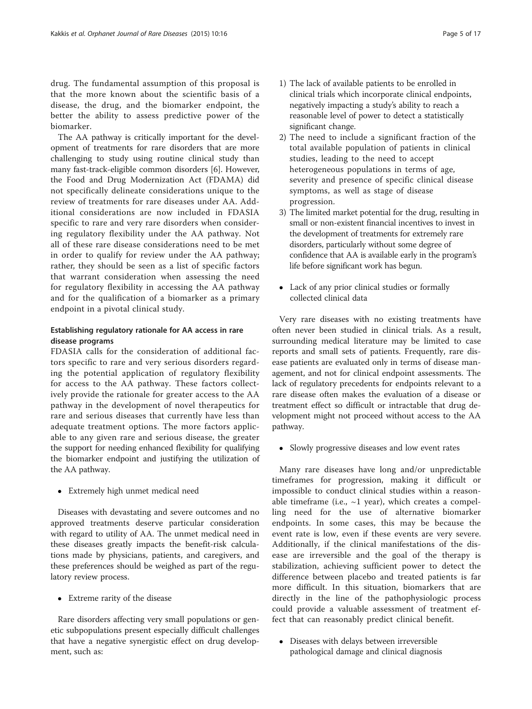drug. The fundamental assumption of this proposal is that the more known about the scientific basis of a disease, the drug, and the biomarker endpoint, the better the ability to assess predictive power of the biomarker.

The AA pathway is critically important for the development of treatments for rare disorders that are more challenging to study using routine clinical study than many fast-track-eligible common disorders [\[6](#page-16-0)]. However, the Food and Drug Modernization Act (FDAMA) did not specifically delineate considerations unique to the review of treatments for rare diseases under AA. Additional considerations are now included in FDASIA specific to rare and very rare disorders when considering regulatory flexibility under the AA pathway. Not all of these rare disease considerations need to be met in order to qualify for review under the AA pathway; rather, they should be seen as a list of specific factors that warrant consideration when assessing the need for regulatory flexibility in accessing the AA pathway and for the qualification of a biomarker as a primary endpoint in a pivotal clinical study.

# Establishing regulatory rationale for AA access in rare disease programs

FDASIA calls for the consideration of additional factors specific to rare and very serious disorders regarding the potential application of regulatory flexibility for access to the AA pathway. These factors collectively provide the rationale for greater access to the AA pathway in the development of novel therapeutics for rare and serious diseases that currently have less than adequate treatment options. The more factors applicable to any given rare and serious disease, the greater the support for needing enhanced flexibility for qualifying the biomarker endpoint and justifying the utilization of the AA pathway.

Extremely high unmet medical need

Diseases with devastating and severe outcomes and no approved treatments deserve particular consideration with regard to utility of AA. The unmet medical need in these diseases greatly impacts the benefit-risk calculations made by physicians, patients, and caregivers, and these preferences should be weighed as part of the regulatory review process.

Extreme rarity of the disease

Rare disorders affecting very small populations or genetic subpopulations present especially difficult challenges that have a negative synergistic effect on drug development, such as:

- 1) The lack of available patients to be enrolled in clinical trials which incorporate clinical endpoints, negatively impacting a study's ability to reach a reasonable level of power to detect a statistically significant change.
- 2) The need to include a significant fraction of the total available population of patients in clinical studies, leading to the need to accept heterogeneous populations in terms of age, severity and presence of specific clinical disease symptoms, as well as stage of disease progression.
- 3) The limited market potential for the drug, resulting in small or non-existent financial incentives to invest in the development of treatments for extremely rare disorders, particularly without some degree of confidence that AA is available early in the program's life before significant work has begun.
- Lack of any prior clinical studies or formally collected clinical data

Very rare diseases with no existing treatments have often never been studied in clinical trials. As a result, surrounding medical literature may be limited to case reports and small sets of patients. Frequently, rare disease patients are evaluated only in terms of disease management, and not for clinical endpoint assessments. The lack of regulatory precedents for endpoints relevant to a rare disease often makes the evaluation of a disease or treatment effect so difficult or intractable that drug development might not proceed without access to the AA pathway.

• Slowly progressive diseases and low event rates

Many rare diseases have long and/or unpredictable timeframes for progression, making it difficult or impossible to conduct clinical studies within a reasonable timeframe (i.e.,  $\sim$ 1 year), which creates a compelling need for the use of alternative biomarker endpoints. In some cases, this may be because the event rate is low, even if these events are very severe. Additionally, if the clinical manifestations of the disease are irreversible and the goal of the therapy is stabilization, achieving sufficient power to detect the difference between placebo and treated patients is far more difficult. In this situation, biomarkers that are directly in the line of the pathophysiologic process could provide a valuable assessment of treatment effect that can reasonably predict clinical benefit.

 Diseases with delays between irreversible pathological damage and clinical diagnosis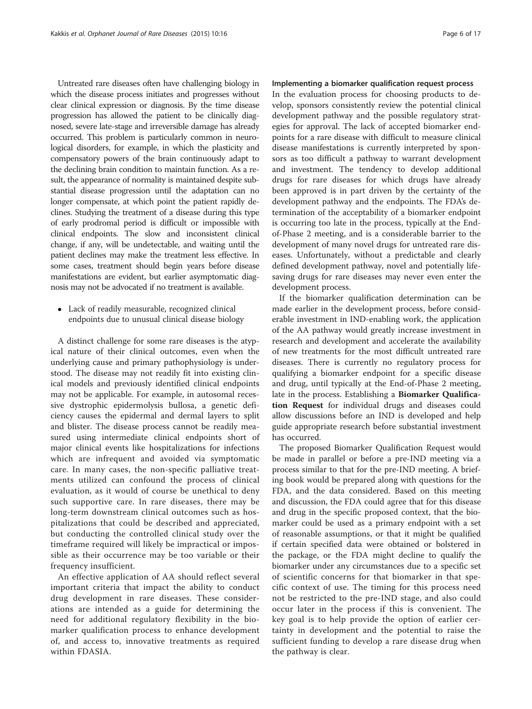Untreated rare diseases often have challenging biology in which the disease process initiates and progresses without clear clinical expression or diagnosis. By the time disease progression has allowed the patient to be clinically diagnosed, severe late-stage and irreversible damage has already occurred. This problem is particularly common in neurological disorders, for example, in which the plasticity and compensatory powers of the brain continuously adapt to the declining brain condition to maintain function. As a result, the appearance of normality is maintained despite substantial disease progression until the adaptation can no longer compensate, at which point the patient rapidly declines. Studying the treatment of a disease during this type of early prodromal period is difficult or impossible with clinical endpoints. The slow and inconsistent clinical change, if any, will be undetectable, and waiting until the patient declines may make the treatment less effective. In some cases, treatment should begin years before disease manifestations are evident, but earlier asymptomatic diagnosis may not be advocated if no treatment is available.

 Lack of readily measurable, recognized clinical endpoints due to unusual clinical disease biology

A distinct challenge for some rare diseases is the atypical nature of their clinical outcomes, even when the underlying cause and primary pathophysiology is understood. The disease may not readily fit into existing clinical models and previously identified clinical endpoints may not be applicable. For example, in autosomal recessive dystrophic epidermolysis bullosa, a genetic deficiency causes the epidermal and dermal layers to split and blister. The disease process cannot be readily measured using intermediate clinical endpoints short of major clinical events like hospitalizations for infections which are infrequent and avoided via symptomatic care. In many cases, the non-specific palliative treatments utilized can confound the process of clinical evaluation, as it would of course be unethical to deny such supportive care. In rare diseases, there may be long-term downstream clinical outcomes such as hospitalizations that could be described and appreciated, but conducting the controlled clinical study over the timeframe required will likely be impractical or impossible as their occurrence may be too variable or their frequency insufficient.

An effective application of AA should reflect several important criteria that impact the ability to conduct drug development in rare diseases. These considerations are intended as a guide for determining the need for additional regulatory flexibility in the biomarker qualification process to enhance development of, and access to, innovative treatments as required within FDASIA.

#### Implementing a biomarker qualification request process

In the evaluation process for choosing products to develop, sponsors consistently review the potential clinical development pathway and the possible regulatory strategies for approval. The lack of accepted biomarker endpoints for a rare disease with difficult to measure clinical disease manifestations is currently interpreted by sponsors as too difficult a pathway to warrant development and investment. The tendency to develop additional drugs for rare diseases for which drugs have already been approved is in part driven by the certainty of the development pathway and the endpoints. The FDA's determination of the acceptability of a biomarker endpoint is occurring too late in the process, typically at the Endof-Phase 2 meeting, and is a considerable barrier to the development of many novel drugs for untreated rare diseases. Unfortunately, without a predictable and clearly defined development pathway, novel and potentially lifesaving drugs for rare diseases may never even enter the development process.

If the biomarker qualification determination can be made earlier in the development process, before considerable investment in IND-enabling work, the application of the AA pathway would greatly increase investment in research and development and accelerate the availability of new treatments for the most difficult untreated rare diseases. There is currently no regulatory process for qualifying a biomarker endpoint for a specific disease and drug, until typically at the End-of-Phase 2 meeting, late in the process. Establishing a Biomarker Qualification Request for individual drugs and diseases could allow discussions before an IND is developed and help guide appropriate research before substantial investment has occurred.

The proposed Biomarker Qualification Request would be made in parallel or before a pre-IND meeting via a process similar to that for the pre-IND meeting. A briefing book would be prepared along with questions for the FDA, and the data considered. Based on this meeting and discussion, the FDA could agree that for this disease and drug in the specific proposed context, that the biomarker could be used as a primary endpoint with a set of reasonable assumptions, or that it might be qualified if certain specified data were obtained or bolstered in the package, or the FDA might decline to qualify the biomarker under any circumstances due to a specific set of scientific concerns for that biomarker in that specific context of use. The timing for this process need not be restricted to the pre-IND stage, and also could occur later in the process if this is convenient. The key goal is to help provide the option of earlier certainty in development and the potential to raise the sufficient funding to develop a rare disease drug when the pathway is clear.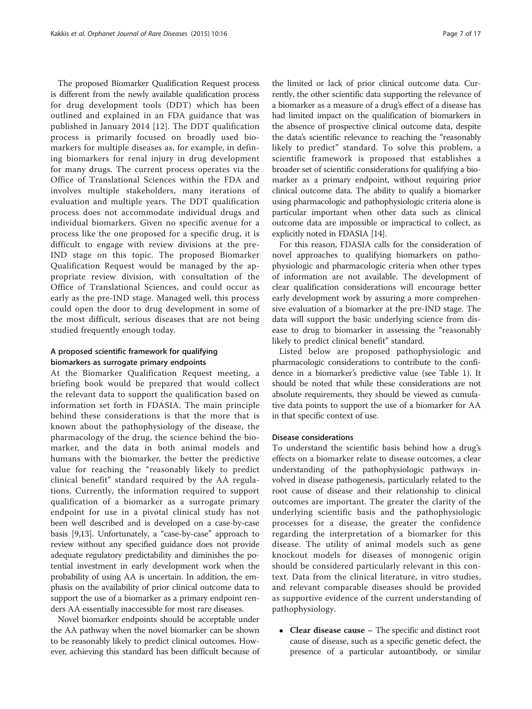The proposed Biomarker Qualification Request process is different from the newly available qualification process for drug development tools (DDT) which has been outlined and explained in an FDA guidance that was published in January 2014 [\[12\]](#page-16-0). The DDT qualification process is primarily focused on broadly used biomarkers for multiple diseases as, for example, in defining biomarkers for renal injury in drug development for many drugs. The current process operates via the Office of Translational Sciences within the FDA and involves multiple stakeholders, many iterations of evaluation and multiple years. The DDT qualification process does not accommodate individual drugs and individual biomarkers. Given no specific avenue for a process like the one proposed for a specific drug, it is difficult to engage with review divisions at the pre-IND stage on this topic. The proposed Biomarker Qualification Request would be managed by the appropriate review division, with consultation of the Office of Translational Sciences, and could occur as early as the pre-IND stage. Managed well, this process could open the door to drug development in some of the most difficult, serious diseases that are not being studied frequently enough today.

# A proposed scientific framework for qualifying biomarkers as surrogate primary endpoints

At the Biomarker Qualification Request meeting, a briefing book would be prepared that would collect the relevant data to support the qualification based on information set forth in FDASIA. The main principle behind these considerations is that the more that is known about the pathophysiology of the disease, the pharmacology of the drug, the science behind the biomarker, and the data in both animal models and humans with the biomarker, the better the predictive value for reaching the "reasonably likely to predict clinical benefit" standard required by the AA regulations. Currently, the information required to support qualification of a biomarker as a surrogate primary endpoint for use in a pivotal clinical study has not been well described and is developed on a case-by-case basis [\[9,13\]](#page-16-0). Unfortunately, a "case-by-case" approach to review without any specified guidance does not provide adequate regulatory predictability and diminishes the potential investment in early development work when the probability of using AA is uncertain. In addition, the emphasis on the availability of prior clinical outcome data to support the use of a biomarker as a primary endpoint renders AA essentially inaccessible for most rare diseases.

Novel biomarker endpoints should be acceptable under the AA pathway when the novel biomarker can be shown to be reasonably likely to predict clinical outcomes. However, achieving this standard has been difficult because of

the limited or lack of prior clinical outcome data. Currently, the other scientific data supporting the relevance of a biomarker as a measure of a drug's effect of a disease has had limited impact on the qualification of biomarkers in the absence of prospective clinical outcome data, despite the data's scientific relevance to reaching the "reasonably likely to predict" standard. To solve this problem, a scientific framework is proposed that establishes a broader set of scientific considerations for qualifying a biomarker as a primary endpoint, without requiring prior clinical outcome data. The ability to qualify a biomarker using pharmacologic and pathophysiologic criteria alone is particular important when other data such as clinical outcome data are impossible or impractical to collect, as explicitly noted in FDASIA [\[14](#page-16-0)].

For this reason, FDASIA calls for the consideration of novel approaches to qualifying biomarkers on pathophysiologic and pharmacologic criteria when other types of information are not available. The development of clear qualification considerations will encourage better early development work by assuring a more comprehensive evaluation of a biomarker at the pre-IND stage. The data will support the basic underlying science from disease to drug to biomarker in assessing the "reasonably likely to predict clinical benefit" standard.

Listed below are proposed pathophysiologic and pharmacologic considerations to contribute to the confidence in a biomarker's predictive value (see Table [1\)](#page-7-0). It should be noted that while these considerations are not absolute requirements, they should be viewed as cumulative data points to support the use of a biomarker for AA in that specific context of use.

#### Disease considerations

To understand the scientific basis behind how a drug's effects on a biomarker relate to disease outcomes, a clear understanding of the pathophysiologic pathways involved in disease pathogenesis, particularly related to the root cause of disease and their relationship to clinical outcomes are important. The greater the clarity of the underlying scientific basis and the pathophysiologic processes for a disease, the greater the confidence regarding the interpretation of a biomarker for this disease. The utility of animal models such as gene knockout models for diseases of monogenic origin should be considered particularly relevant in this context. Data from the clinical literature, in vitro studies, and relevant comparable diseases should be provided as supportive evidence of the current understanding of pathophysiology.

• Clear disease cause – The specific and distinct root cause of disease, such as a specific genetic defect, the presence of a particular autoantibody, or similar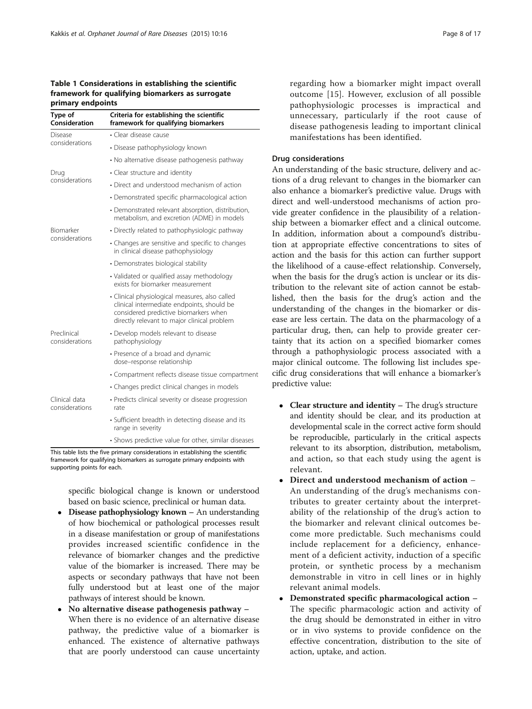## <span id="page-7-0"></span>Table 1 Considerations in establishing the scientific framework for qualifying biomarkers as surrogate primary endpoints

| Type of<br>Consideration        | Criteria for establishing the scientific<br>framework for qualifying biomarkers                                                                                                      |  |  |  |  |  |
|---------------------------------|--------------------------------------------------------------------------------------------------------------------------------------------------------------------------------------|--|--|--|--|--|
| Disease                         | • Clear disease cause                                                                                                                                                                |  |  |  |  |  |
| considerations                  | • Disease pathophysiology known                                                                                                                                                      |  |  |  |  |  |
|                                 | • No alternative disease pathogenesis pathway                                                                                                                                        |  |  |  |  |  |
| Drug<br>considerations          | • Clear structure and identity                                                                                                                                                       |  |  |  |  |  |
|                                 | • Direct and understood mechanism of action                                                                                                                                          |  |  |  |  |  |
|                                 | • Demonstrated specific pharmacological action                                                                                                                                       |  |  |  |  |  |
|                                 | • Demonstrated relevant absorption, distribution,<br>metabolism, and excretion (ADME) in models                                                                                      |  |  |  |  |  |
| Biomarker                       | • Directly related to pathophysiologic pathway                                                                                                                                       |  |  |  |  |  |
| considerations                  | • Changes are sensitive and specific to changes<br>in clinical disease pathophysiology                                                                                               |  |  |  |  |  |
|                                 | • Demonstrates biological stability                                                                                                                                                  |  |  |  |  |  |
|                                 | • Validated or qualified assay methodology<br>exists for biomarker measurement                                                                                                       |  |  |  |  |  |
|                                 | · Clinical physiological measures, also called<br>clinical intermediate endpoints, should be<br>considered predictive biomarkers when<br>directly relevant to major clinical problem |  |  |  |  |  |
| Preclinical<br>considerations   | • Develop models relevant to disease<br>pathophysiology                                                                                                                              |  |  |  |  |  |
|                                 | • Presence of a broad and dynamic<br>dose-response relationship                                                                                                                      |  |  |  |  |  |
|                                 | • Compartment reflects disease tissue compartment                                                                                                                                    |  |  |  |  |  |
|                                 | • Changes predict clinical changes in models                                                                                                                                         |  |  |  |  |  |
| Clinical data<br>considerations | • Predicts clinical severity or disease progression<br>rate                                                                                                                          |  |  |  |  |  |
|                                 | • Sufficient breadth in detecting disease and its<br>range in severity                                                                                                               |  |  |  |  |  |
|                                 | • Shows predictive value for other, similar diseases                                                                                                                                 |  |  |  |  |  |

This table lists the five primary considerations in establishing the scientific framework for qualifying biomarkers as surrogate primary endpoints with supporting points for each.

specific biological change is known or understood based on basic science, preclinical or human data.

- Disease pathophysiology known An understanding of how biochemical or pathological processes result in a disease manifestation or group of manifestations provides increased scientific confidence in the relevance of biomarker changes and the predictive value of the biomarker is increased. There may be aspects or secondary pathways that have not been fully understood but at least one of the major pathways of interest should be known.
- No alternative disease pathogenesis pathway When there is no evidence of an alternative disease pathway, the predictive value of a biomarker is enhanced. The existence of alternative pathways that are poorly understood can cause uncertainty

regarding how a biomarker might impact overall outcome [\[15\]](#page-16-0). However, exclusion of all possible pathophysiologic processes is impractical and unnecessary, particularly if the root cause of disease pathogenesis leading to important clinical manifestations has been identified.

# Drug considerations

An understanding of the basic structure, delivery and actions of a drug relevant to changes in the biomarker can also enhance a biomarker's predictive value. Drugs with direct and well-understood mechanisms of action provide greater confidence in the plausibility of a relationship between a biomarker effect and a clinical outcome. In addition, information about a compound's distribution at appropriate effective concentrations to sites of action and the basis for this action can further support the likelihood of a cause-effect relationship. Conversely, when the basis for the drug's action is unclear or its distribution to the relevant site of action cannot be established, then the basis for the drug's action and the understanding of the changes in the biomarker or disease are less certain. The data on the pharmacology of a particular drug, then, can help to provide greater certainty that its action on a specified biomarker comes through a pathophysiologic process associated with a major clinical outcome. The following list includes specific drug considerations that will enhance a biomarker's predictive value:

• Clear structure and identity – The drug's structure and identity should be clear, and its production at developmental scale in the correct active form should be reproducible, particularly in the critical aspects relevant to its absorption, distribution, metabolism, and action, so that each study using the agent is relevant.

 Direct and understood mechanism of action – An understanding of the drug's mechanisms contributes to greater certainty about the interpretability of the relationship of the drug's action to the biomarker and relevant clinical outcomes become more predictable. Such mechanisms could include replacement for a deficiency, enhancement of a deficient activity, induction of a specific protein, or synthetic process by a mechanism demonstrable in vitro in cell lines or in highly relevant animal models.

 Demonstrated specific pharmacological action – The specific pharmacologic action and activity of the drug should be demonstrated in either in vitro or in vivo systems to provide confidence on the effective concentration, distribution to the site of action, uptake, and action.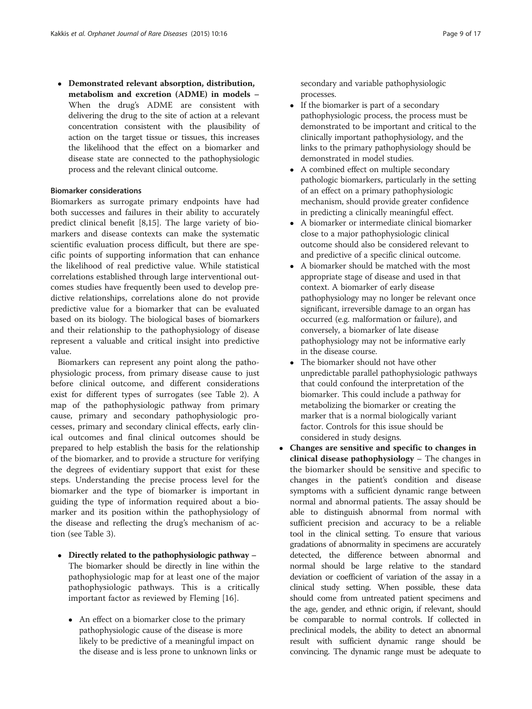Demonstrated relevant absorption, distribution, metabolism and excretion (ADME) in models – When the drug's ADME are consistent with delivering the drug to the site of action at a relevant concentration consistent with the plausibility of action on the target tissue or tissues, this increases the likelihood that the effect on a biomarker and disease state are connected to the pathophysiologic process and the relevant clinical outcome.

### Biomarker considerations

Biomarkers as surrogate primary endpoints have had both successes and failures in their ability to accurately predict clinical benefit [[8](#page-16-0),[15](#page-16-0)]. The large variety of biomarkers and disease contexts can make the systematic scientific evaluation process difficult, but there are specific points of supporting information that can enhance the likelihood of real predictive value. While statistical correlations established through large interventional outcomes studies have frequently been used to develop predictive relationships, correlations alone do not provide predictive value for a biomarker that can be evaluated based on its biology. The biological bases of biomarkers and their relationship to the pathophysiology of disease represent a valuable and critical insight into predictive value.

Biomarkers can represent any point along the pathophysiologic process, from primary disease cause to just before clinical outcome, and different considerations exist for different types of surrogates (see Table [2](#page-9-0)). A map of the pathophysiologic pathway from primary cause, primary and secondary pathophysiologic processes, primary and secondary clinical effects, early clinical outcomes and final clinical outcomes should be prepared to help establish the basis for the relationship of the biomarker, and to provide a structure for verifying the degrees of evidentiary support that exist for these steps. Understanding the precise process level for the biomarker and the type of biomarker is important in guiding the type of information required about a biomarker and its position within the pathophysiology of the disease and reflecting the drug's mechanism of action (see Table [3](#page-10-0)).

- Directly related to the pathophysiologic pathway The biomarker should be directly in line within the pathophysiologic map for at least one of the major pathophysiologic pathways. This is a critically important factor as reviewed by Fleming [[16\]](#page-16-0).
	- An effect on a biomarker close to the primary pathophysiologic cause of the disease is more likely to be predictive of a meaningful impact on the disease and is less prone to unknown links or

secondary and variable pathophysiologic processes.

- If the biomarker is part of a secondary pathophysiologic process, the process must be demonstrated to be important and critical to the clinically important pathophysiology, and the links to the primary pathophysiology should be demonstrated in model studies.
- A combined effect on multiple secondary pathologic biomarkers, particularly in the setting of an effect on a primary pathophysiologic mechanism, should provide greater confidence in predicting a clinically meaningful effect.
- A biomarker or intermediate clinical biomarker close to a major pathophysiologic clinical outcome should also be considered relevant to and predictive of a specific clinical outcome.
- A biomarker should be matched with the most appropriate stage of disease and used in that context. A biomarker of early disease pathophysiology may no longer be relevant once significant, irreversible damage to an organ has occurred (e.g. malformation or failure), and conversely, a biomarker of late disease pathophysiology may not be informative early in the disease course.
- The biomarker should not have other unpredictable parallel pathophysiologic pathways that could confound the interpretation of the biomarker. This could include a pathway for metabolizing the biomarker or creating the marker that is a normal biologically variant factor. Controls for this issue should be considered in study designs.
- Changes are sensitive and specific to changes in clinical disease pathophysiology – The changes in the biomarker should be sensitive and specific to changes in the patient's condition and disease symptoms with a sufficient dynamic range between normal and abnormal patients. The assay should be able to distinguish abnormal from normal with sufficient precision and accuracy to be a reliable tool in the clinical setting. To ensure that various gradations of abnormality in specimens are accurately detected, the difference between abnormal and normal should be large relative to the standard deviation or coefficient of variation of the assay in a clinical study setting. When possible, these data should come from untreated patient specimens and the age, gender, and ethnic origin, if relevant, should be comparable to normal controls. If collected in preclinical models, the ability to detect an abnormal result with sufficient dynamic range should be convincing. The dynamic range must be adequate to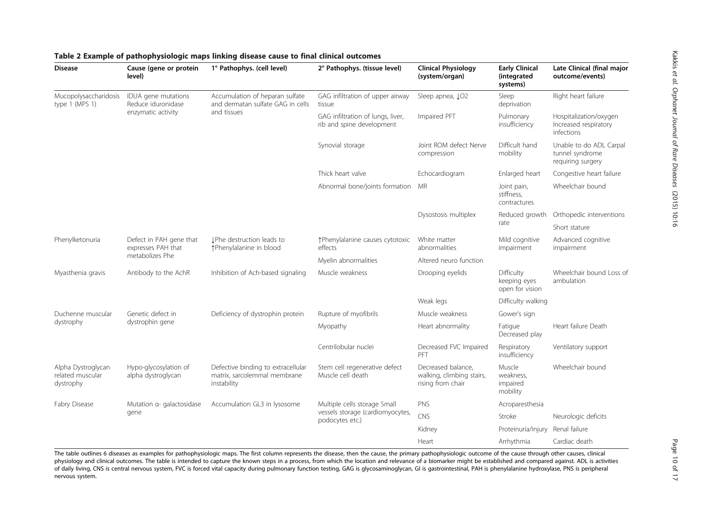| <b>Disease</b>                                      | Cause (gene or protein<br>level)                                 | 1° Pathophys. (cell level)                                                          | 2° Pathophys. (tissue level)                                                        | <b>Clinical Physiology</b><br>(system/organ)                         | <b>Early Clinical</b><br>(integrated<br>systems) | Late Clinical (final major<br>outcome/events)                   |
|-----------------------------------------------------|------------------------------------------------------------------|-------------------------------------------------------------------------------------|-------------------------------------------------------------------------------------|----------------------------------------------------------------------|--------------------------------------------------|-----------------------------------------------------------------|
| Mucopolysaccharidosis<br>type 1 (MPS 1)             | IDUA gene mutations<br>Reduce iduronidase<br>enzymatic activity  | Accumulation of heparan sulfate<br>and dermatan sulfate GAG in cells<br>and tissues | GAG infiltration of upper airway<br>tissue                                          | Sleep apnea, JO2                                                     | Sleep<br>deprivation                             | Right heart failure                                             |
|                                                     |                                                                  |                                                                                     | GAG infiltration of lungs, liver,<br>rib and spine development                      | Impaired PFT                                                         | Pulmonary<br>insufficiency                       | Hospitalization/oxygen<br>Increased respiratory<br>infections   |
|                                                     |                                                                  |                                                                                     | Synovial storage                                                                    | Joint ROM defect Nerve<br>compression                                | Difficult hand<br>mobility                       | Unable to do ADL Carpal<br>tunnel syndrome<br>requiring surgery |
|                                                     |                                                                  |                                                                                     | Thick heart valve                                                                   | Echocardiogram                                                       | Enlarged heart                                   | Congestive heart failure                                        |
|                                                     |                                                                  |                                                                                     | Abnormal bone/joints formation MR                                                   |                                                                      | Joint pain,<br>stiffness,<br>contractures        | Wheelchair bound                                                |
|                                                     |                                                                  |                                                                                     |                                                                                     | Dysostosis multiplex                                                 | Reduced growth                                   | Orthopedic interventions                                        |
|                                                     |                                                                  |                                                                                     |                                                                                     |                                                                      | rate                                             | Short stature                                                   |
| Phenylketonuria                                     | Defect in PAH gene that<br>expresses PAH that<br>metabolizes Phe | TPhe destruction leads to<br>↑Phenylalanine in blood                                | ↑Phenylalanine causes cytotoxic<br>effects                                          | White matter<br>abnormalities                                        | Mild cognitive<br>impairment                     | Advanced cognitive<br>impairment                                |
|                                                     |                                                                  |                                                                                     | Myelin abnormalities                                                                | Altered neuro function                                               |                                                  |                                                                 |
| Myasthenia gravis                                   | Antibody to the AchR                                             | Inhibition of Ach-based signaling                                                   | Muscle weakness                                                                     | Drooping eyelids                                                     | Difficulty<br>keeping eyes<br>open for vision    | Wheelchair bound Loss of<br>ambulation                          |
|                                                     |                                                                  |                                                                                     |                                                                                     | Weak legs                                                            | Difficulty walking                               |                                                                 |
| Duchenne muscular<br>dystrophy                      | Genetic defect in<br>dystrophin gene                             | Deficiency of dystrophin protein                                                    | Rupture of myofibrils                                                               | Muscle weakness                                                      | Gower's sign                                     |                                                                 |
|                                                     |                                                                  |                                                                                     | Myopathy                                                                            | Heart abnormality                                                    | Fatigue<br>Decreased play                        | Heart failure Death                                             |
|                                                     |                                                                  |                                                                                     | Centrilobular nuclei                                                                | Decreased FVC Impaired<br>PFT                                        | Respiratory<br>insufficiency                     | Ventilatory support                                             |
| Alpha Dystroglycan<br>related muscular<br>dystrophy | Hypo-glycosylation of<br>alpha dystroglycan                      | Defective binding to extracellular<br>matrix, sarcolemmal membrane<br>instability   | Stem cell regenerative defect<br>Muscle cell death                                  | Decreased balance,<br>walking, climbing stairs,<br>rising from chair | Muscle<br>weakness.<br>impaired<br>mobility      | Wheelchair bound                                                |
| Fabry Disease                                       | Mutation a-galactosidase                                         | Accumulation GL3 in lysosome                                                        | Multiple cells storage Small<br>vessels storage (cardiomyocytes,<br>podocytes etc.) | PNS                                                                  | Acroparesthesia                                  |                                                                 |
|                                                     | gene                                                             |                                                                                     |                                                                                     | CNS                                                                  | Stroke                                           | Neurologic deficits                                             |
|                                                     |                                                                  |                                                                                     |                                                                                     | Kidney                                                               | Proteinuria/injury                               | Renal failure                                                   |
|                                                     |                                                                  |                                                                                     |                                                                                     | Heart                                                                | Arrhythmia                                       | Cardiac death                                                   |

# <span id="page-9-0"></span>Table 2 Example of pathophysiologic maps linking disease cause to final clinical outcomes

The table outlines 6 diseases as examples for pathophysiologic maps. The first column represents the disease, then the cause, the primary pathophysiologic outcome of the cause through other causes, clinical physiology and clinical outcomes. The table is intended to capture the known steps in a process, from which the location and relevance of a biomarker might be established and compared against. ADL is activities of daily living, CNS is central nervous system, FVC is forced vital capacity during pulmonary function testing, GAG is glycosaminoglycan, GI is gastrointestinal, PAH is phenylalanine hydroxylase, PNS is peripheral nervous system.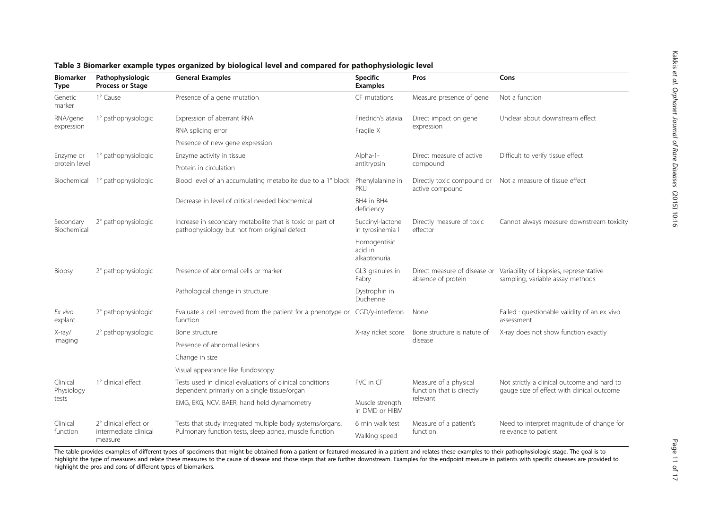| <b>Biomarker</b><br>Type        | Pathophysiologic<br>Process or Stage                      | <b>General Examples</b>                                                                                             | <b>Specific</b><br><b>Examples</b>      | Pros                                               | Cons                                                                                                     |  |
|---------------------------------|-----------------------------------------------------------|---------------------------------------------------------------------------------------------------------------------|-----------------------------------------|----------------------------------------------------|----------------------------------------------------------------------------------------------------------|--|
| Genetic<br>marker               | 1° Cause                                                  | Presence of a gene mutation                                                                                         | CF mutations                            | Measure presence of gene                           | Not a function                                                                                           |  |
| RNA/gene<br>expression          | 1° pathophysiologic                                       | Expression of aberrant RNA                                                                                          | Friedrich's ataxia                      | Direct impact on gene<br>expression                | Unclear about downstream effect                                                                          |  |
|                                 |                                                           | RNA splicing error                                                                                                  | Fragile X                               |                                                    |                                                                                                          |  |
|                                 |                                                           | Presence of new gene expression                                                                                     |                                         |                                                    |                                                                                                          |  |
| Enzyme or<br>protein level      | 1° pathophysiologic                                       | Enzyme activity in tissue                                                                                           | Alpha-1-                                | Direct measure of active<br>compound               | Difficult to verify tissue effect                                                                        |  |
|                                 |                                                           | Protein in circulation                                                                                              | antitrypsin                             |                                                    |                                                                                                          |  |
| Biochemical                     | 1° pathophysiologic                                       | Blood level of an accumulating metabolite due to a 1° block                                                         | Phenylalanine in<br>PKU                 | active compound                                    | Directly toxic compound or Not a measure of tissue effect                                                |  |
|                                 |                                                           | Decrease in level of critical needed biochemical                                                                    | BH4 in BH4<br>deficiency                |                                                    |                                                                                                          |  |
| Secondary<br>Biochemical        | 2° pathophysiologic                                       | Increase in secondary metabolite that is toxic or part of<br>pathophysiology but not from original defect           | Succinyl-lactone<br>in tyrosinemia I    | Directly measure of toxic<br>effector              | Cannot always measure downstream toxicity                                                                |  |
|                                 |                                                           |                                                                                                                     | Homogentisic<br>acid in<br>alkaptonuria |                                                    |                                                                                                          |  |
| Biopsy                          | 2° pathophysiologic                                       | Presence of abnormal cells or marker                                                                                | GL3 granules in<br>Fabry                | absence of protein                                 | Direct measure of disease or Variability of biopsies, representative<br>sampling, variable assay methods |  |
|                                 |                                                           | Pathological change in structure                                                                                    | Dystrophin in<br>Duchenne               |                                                    |                                                                                                          |  |
| Ex vivo<br>explant              | 2° pathophysiologic                                       | Evaluate a cell removed from the patient for a phenotype or<br>function                                             | CGD/y-interferon                        | None                                               | Failed : questionable validity of an ex vivo<br>assessment                                               |  |
| $X-ray/$<br>Imaging             | 2° pathophysiologic                                       | Bone structure                                                                                                      | X-ray ricket score                      | Bone structure is nature of<br>disease             | X-ray does not show function exactly                                                                     |  |
|                                 |                                                           | Presence of abnormal lesions                                                                                        |                                         |                                                    |                                                                                                          |  |
|                                 |                                                           | Change in size                                                                                                      |                                         |                                                    |                                                                                                          |  |
|                                 |                                                           | Visual appearance like fundoscopy                                                                                   |                                         |                                                    |                                                                                                          |  |
| Clinical<br>Physiology<br>tests | 1° clinical effect                                        | Tests used in clinical evaluations of clinical conditions<br>dependent primarily on a single tissue/organ           | FVC in CF                               | Measure of a physical<br>function that is directly | Not strictly a clinical outcome and hard to<br>gauge size of effect with clinical outcome                |  |
|                                 |                                                           | EMG, EKG, NCV, BAER, hand held dynamometry                                                                          | Muscle strength<br>in DMD or HIBM       | relevant                                           |                                                                                                          |  |
| Clinical<br>function            | 2° clinical effect or<br>intermediate clinical<br>measure | Tests that study integrated multiple body systems/organs,<br>Pulmonary function tests, sleep apnea, muscle function | 6 min walk test                         | Measure of a patient's<br>function                 | Need to interpret magnitude of change for                                                                |  |
|                                 |                                                           |                                                                                                                     | Walking speed                           |                                                    | relevance to patient                                                                                     |  |

# <span id="page-10-0"></span>Table 3 Biomarker example types organized by biological level and compared for pathophysiologic level

The table provides examples of different types of specimens that might be obtained from a patient or featured measured in a patient and relates these examples to their pathophysiologic stage. The goal is to highlight the type of measures and relate these measures to the cause of disease and those steps that are further downstream. Examples for the endpoint measure in patients with specific diseases are provided to highlight the pros and cons of different types of biomarkers.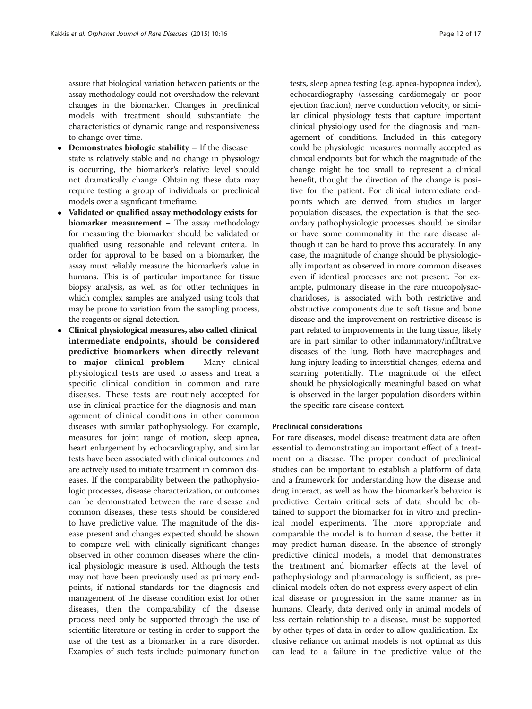assure that biological variation between patients or the assay methodology could not overshadow the relevant changes in the biomarker. Changes in preclinical models with treatment should substantiate the characteristics of dynamic range and responsiveness to change over time.

- Demonstrates biologic stability If the disease state is relatively stable and no change in physiology is occurring, the biomarker's relative level should not dramatically change. Obtaining these data may require testing a group of individuals or preclinical models over a significant timeframe.
- Validated or qualified assay methodology exists for biomarker measurement - The assay methodology for measuring the biomarker should be validated or qualified using reasonable and relevant criteria. In order for approval to be based on a biomarker, the assay must reliably measure the biomarker's value in humans. This is of particular importance for tissue biopsy analysis, as well as for other techniques in which complex samples are analyzed using tools that may be prone to variation from the sampling process, the reagents or signal detection.
- Clinical physiological measures, also called clinical intermediate endpoints, should be considered predictive biomarkers when directly relevant to major clinical problem – Many clinical physiological tests are used to assess and treat a specific clinical condition in common and rare diseases. These tests are routinely accepted for use in clinical practice for the diagnosis and management of clinical conditions in other common diseases with similar pathophysiology. For example, measures for joint range of motion, sleep apnea, heart enlargement by echocardiography, and similar tests have been associated with clinical outcomes and are actively used to initiate treatment in common diseases. If the comparability between the pathophysiologic processes, disease characterization, or outcomes can be demonstrated between the rare disease and common diseases, these tests should be considered to have predictive value. The magnitude of the disease present and changes expected should be shown to compare well with clinically significant changes observed in other common diseases where the clinical physiologic measure is used. Although the tests may not have been previously used as primary endpoints, if national standards for the diagnosis and management of the disease condition exist for other diseases, then the comparability of the disease process need only be supported through the use of scientific literature or testing in order to support the use of the test as a biomarker in a rare disorder. Examples of such tests include pulmonary function

tests, sleep apnea testing (e.g. apnea-hypopnea index), echocardiography (assessing cardiomegaly or poor ejection fraction), nerve conduction velocity, or similar clinical physiology tests that capture important clinical physiology used for the diagnosis and management of conditions. Included in this category could be physiologic measures normally accepted as clinical endpoints but for which the magnitude of the change might be too small to represent a clinical benefit, thought the direction of the change is positive for the patient. For clinical intermediate endpoints which are derived from studies in larger population diseases, the expectation is that the secondary pathophysiologic processes should be similar or have some commonality in the rare disease although it can be hard to prove this accurately. In any case, the magnitude of change should be physiologically important as observed in more common diseases even if identical processes are not present. For example, pulmonary disease in the rare mucopolysaccharidoses, is associated with both restrictive and obstructive components due to soft tissue and bone disease and the improvement on restrictive disease is part related to improvements in the lung tissue, likely are in part similar to other inflammatory/infiltrative diseases of the lung. Both have macrophages and lung injury leading to interstitial changes, edema and scarring potentially. The magnitude of the effect should be physiologically meaningful based on what is observed in the larger population disorders within the specific rare disease context.

# Preclinical considerations

For rare diseases, model disease treatment data are often essential to demonstrating an important effect of a treatment on a disease. The proper conduct of preclinical studies can be important to establish a platform of data and a framework for understanding how the disease and drug interact, as well as how the biomarker's behavior is predictive. Certain critical sets of data should be obtained to support the biomarker for in vitro and preclinical model experiments. The more appropriate and comparable the model is to human disease, the better it may predict human disease. In the absence of strongly predictive clinical models, a model that demonstrates the treatment and biomarker effects at the level of pathophysiology and pharmacology is sufficient, as preclinical models often do not express every aspect of clinical disease or progression in the same manner as in humans. Clearly, data derived only in animal models of less certain relationship to a disease, must be supported by other types of data in order to allow qualification. Exclusive reliance on animal models is not optimal as this can lead to a failure in the predictive value of the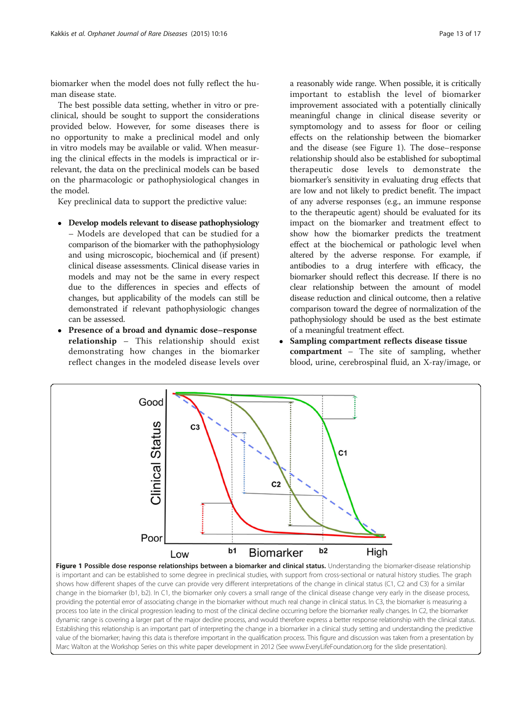biomarker when the model does not fully reflect the human disease state.

The best possible data setting, whether in vitro or preclinical, should be sought to support the considerations provided below. However, for some diseases there is no opportunity to make a preclinical model and only in vitro models may be available or valid. When measuring the clinical effects in the models is impractical or irrelevant, the data on the preclinical models can be based on the pharmacologic or pathophysiological changes in the model.

Key preclinical data to support the predictive value:

- Develop models relevant to disease pathophysiology – Models are developed that can be studied for a comparison of the biomarker with the pathophysiology and using microscopic, biochemical and (if present) clinical disease assessments. Clinical disease varies in models and may not be the same in every respect due to the differences in species and effects of changes, but applicability of the models can still be demonstrated if relevant pathophysiologic changes can be assessed.
- Presence of a broad and dynamic dose–response relationship – This relationship should exist demonstrating how changes in the biomarker reflect changes in the modeled disease levels over

a reasonably wide range. When possible, it is critically important to establish the level of biomarker improvement associated with a potentially clinically meaningful change in clinical disease severity or symptomology and to assess for floor or ceiling effects on the relationship between the biomarker and the disease (see Figure 1). The dose–response relationship should also be established for suboptimal therapeutic dose levels to demonstrate the biomarker's sensitivity in evaluating drug effects that are low and not likely to predict benefit. The impact of any adverse responses (e.g., an immune response to the therapeutic agent) should be evaluated for its impact on the biomarker and treatment effect to show how the biomarker predicts the treatment effect at the biochemical or pathologic level when altered by the adverse response. For example, if antibodies to a drug interfere with efficacy, the biomarker should reflect this decrease. If there is no clear relationship between the amount of model disease reduction and clinical outcome, then a relative comparison toward the degree of normalization of the pathophysiology should be used as the best estimate of a meaningful treatment effect.

 Sampling compartment reflects disease tissue compartment – The site of sampling, whether blood, urine, cerebrospinal fluid, an X-ray/image, or



dynamic range is covering a larger part of the major decline process, and would therefore express a better response relationship with the clinical status. Establishing this relationship is an important part of interpreting the change in a biomarker in a clinical study setting and understanding the predictive value of the biomarker; having this data is therefore important in the qualification process. This figure and discussion was taken from a presentation by Marc Walton at the Workshop Series on this white paper development in 2012 (See [www.EveryLifeFoundation.org](http://www.everylifefoundation.org) for the slide presentation).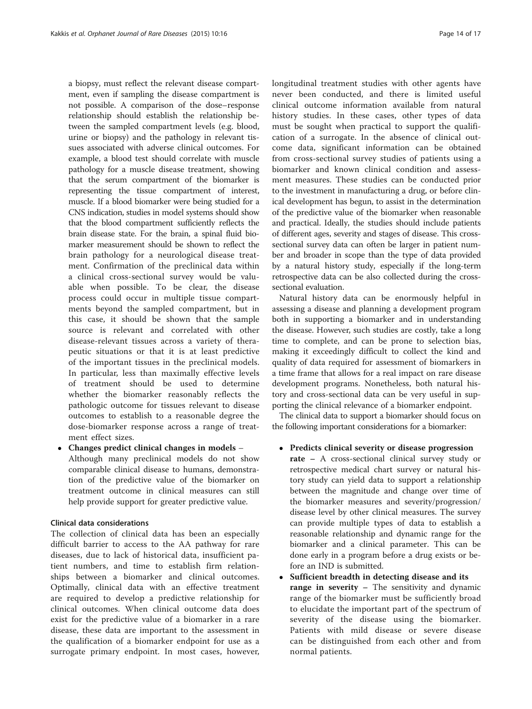a biopsy, must reflect the relevant disease compartment, even if sampling the disease compartment is not possible. A comparison of the dose–response relationship should establish the relationship between the sampled compartment levels (e.g. blood, urine or biopsy) and the pathology in relevant tissues associated with adverse clinical outcomes. For example, a blood test should correlate with muscle pathology for a muscle disease treatment, showing that the serum compartment of the biomarker is representing the tissue compartment of interest, muscle. If a blood biomarker were being studied for a CNS indication, studies in model systems should show that the blood compartment sufficiently reflects the brain disease state. For the brain, a spinal fluid biomarker measurement should be shown to reflect the brain pathology for a neurological disease treatment. Confirmation of the preclinical data within a clinical cross-sectional survey would be valuable when possible. To be clear, the disease process could occur in multiple tissue compartments beyond the sampled compartment, but in this case, it should be shown that the sample source is relevant and correlated with other disease-relevant tissues across a variety of therapeutic situations or that it is at least predictive of the important tissues in the preclinical models. In particular, less than maximally effective levels of treatment should be used to determine whether the biomarker reasonably reflects the pathologic outcome for tissues relevant to disease outcomes to establish to a reasonable degree the dose-biomarker response across a range of treatment effect sizes.

 Changes predict clinical changes in models – Although many preclinical models do not show comparable clinical disease to humans, demonstration of the predictive value of the biomarker on treatment outcome in clinical measures can still help provide support for greater predictive value.

#### Clinical data considerations

The collection of clinical data has been an especially difficult barrier to access to the AA pathway for rare diseases, due to lack of historical data, insufficient patient numbers, and time to establish firm relationships between a biomarker and clinical outcomes. Optimally, clinical data with an effective treatment are required to develop a predictive relationship for clinical outcomes. When clinical outcome data does exist for the predictive value of a biomarker in a rare disease, these data are important to the assessment in the qualification of a biomarker endpoint for use as a surrogate primary endpoint. In most cases, however,

longitudinal treatment studies with other agents have never been conducted, and there is limited useful clinical outcome information available from natural history studies. In these cases, other types of data must be sought when practical to support the qualification of a surrogate. In the absence of clinical outcome data, significant information can be obtained from cross-sectional survey studies of patients using a biomarker and known clinical condition and assessment measures. These studies can be conducted prior to the investment in manufacturing a drug, or before clinical development has begun, to assist in the determination of the predictive value of the biomarker when reasonable and practical. Ideally, the studies should include patients of different ages, severity and stages of disease. This crosssectional survey data can often be larger in patient number and broader in scope than the type of data provided by a natural history study, especially if the long-term retrospective data can be also collected during the crosssectional evaluation.

Natural history data can be enormously helpful in assessing a disease and planning a development program both in supporting a biomarker and in understanding the disease. However, such studies are costly, take a long time to complete, and can be prone to selection bias, making it exceedingly difficult to collect the kind and quality of data required for assessment of biomarkers in a time frame that allows for a real impact on rare disease development programs. Nonetheless, both natural history and cross-sectional data can be very useful in supporting the clinical relevance of a biomarker endpoint.

The clinical data to support a biomarker should focus on the following important considerations for a biomarker:

Predicts clinical severity or disease progression

rate – A cross-sectional clinical survey study or retrospective medical chart survey or natural history study can yield data to support a relationship between the magnitude and change over time of the biomarker measures and severity/progression/ disease level by other clinical measures. The survey can provide multiple types of data to establish a reasonable relationship and dynamic range for the biomarker and a clinical parameter. This can be done early in a program before a drug exists or before an IND is submitted.

 Sufficient breadth in detecting disease and its range in severity – The sensitivity and dynamic range of the biomarker must be sufficiently broad to elucidate the important part of the spectrum of severity of the disease using the biomarker. Patients with mild disease or severe disease can be distinguished from each other and from normal patients.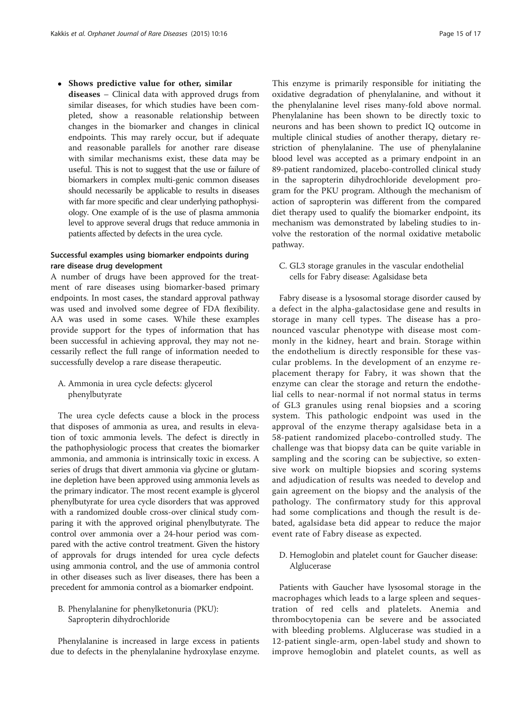#### Shows predictive value for other, similar

diseases – Clinical data with approved drugs from similar diseases, for which studies have been completed, show a reasonable relationship between changes in the biomarker and changes in clinical endpoints. This may rarely occur, but if adequate and reasonable parallels for another rare disease with similar mechanisms exist, these data may be useful. This is not to suggest that the use or failure of biomarkers in complex multi-genic common diseases should necessarily be applicable to results in diseases with far more specific and clear underlying pathophysiology. One example of is the use of plasma ammonia level to approve several drugs that reduce ammonia in patients affected by defects in the urea cycle.

# Successful examples using biomarker endpoints during rare disease drug development

A number of drugs have been approved for the treatment of rare diseases using biomarker-based primary endpoints. In most cases, the standard approval pathway was used and involved some degree of FDA flexibility. AA was used in some cases. While these examples provide support for the types of information that has been successful in achieving approval, they may not necessarily reflect the full range of information needed to successfully develop a rare disease therapeutic.

A. Ammonia in urea cycle defects: glycerol phenylbutyrate

The urea cycle defects cause a block in the process that disposes of ammonia as urea, and results in elevation of toxic ammonia levels. The defect is directly in the pathophysiologic process that creates the biomarker ammonia, and ammonia is intrinsically toxic in excess. A series of drugs that divert ammonia via glycine or glutamine depletion have been approved using ammonia levels as the primary indicator. The most recent example is glycerol phenylbutyrate for urea cycle disorders that was approved with a randomized double cross-over clinical study comparing it with the approved original phenylbutyrate. The control over ammonia over a 24-hour period was compared with the active control treatment. Given the history of approvals for drugs intended for urea cycle defects using ammonia control, and the use of ammonia control in other diseases such as liver diseases, there has been a precedent for ammonia control as a biomarker endpoint.

B. Phenylalanine for phenylketonuria (PKU): Sapropterin dihydrochloride

Phenylalanine is increased in large excess in patients due to defects in the phenylalanine hydroxylase enzyme.

This enzyme is primarily responsible for initiating the oxidative degradation of phenylalanine, and without it the phenylalanine level rises many-fold above normal. Phenylalanine has been shown to be directly toxic to neurons and has been shown to predict IQ outcome in multiple clinical studies of another therapy, dietary restriction of phenylalanine. The use of phenylalanine blood level was accepted as a primary endpoint in an 89-patient randomized, placebo-controlled clinical study in the sapropterin dihydrochloride development program for the PKU program. Although the mechanism of action of sapropterin was different from the compared diet therapy used to qualify the biomarker endpoint, its mechanism was demonstrated by labeling studies to involve the restoration of the normal oxidative metabolic pathway.

# C. GL3 storage granules in the vascular endothelial cells for Fabry disease: Agalsidase beta

Fabry disease is a lysosomal storage disorder caused by a defect in the alpha-galactosidase gene and results in storage in many cell types. The disease has a pronounced vascular phenotype with disease most commonly in the kidney, heart and brain. Storage within the endothelium is directly responsible for these vascular problems. In the development of an enzyme replacement therapy for Fabry, it was shown that the enzyme can clear the storage and return the endothelial cells to near-normal if not normal status in terms of GL3 granules using renal biopsies and a scoring system. This pathologic endpoint was used in the approval of the enzyme therapy agalsidase beta in a 58-patient randomized placebo-controlled study. The challenge was that biopsy data can be quite variable in sampling and the scoring can be subjective, so extensive work on multiple biopsies and scoring systems and adjudication of results was needed to develop and gain agreement on the biopsy and the analysis of the pathology. The confirmatory study for this approval had some complications and though the result is debated, agalsidase beta did appear to reduce the major event rate of Fabry disease as expected.

D. Hemoglobin and platelet count for Gaucher disease: Alglucerase

Patients with Gaucher have lysosomal storage in the macrophages which leads to a large spleen and sequestration of red cells and platelets. Anemia and thrombocytopenia can be severe and be associated with bleeding problems. Alglucerase was studied in a 12-patient single-arm, open-label study and shown to improve hemoglobin and platelet counts, as well as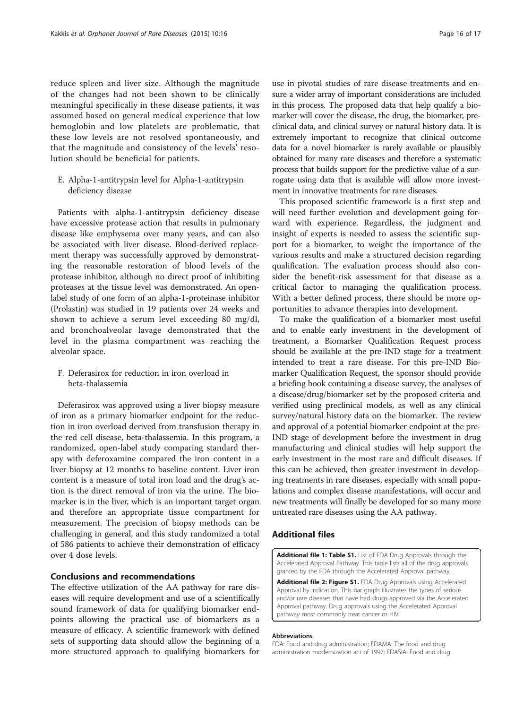<span id="page-15-0"></span>reduce spleen and liver size. Although the magnitude of the changes had not been shown to be clinically meaningful specifically in these disease patients, it was assumed based on general medical experience that low hemoglobin and low platelets are problematic, that these low levels are not resolved spontaneously, and that the magnitude and consistency of the levels' resolution should be beneficial for patients.

E. Alpha-1-antitrypsin level for Alpha-1-antitrypsin deficiency disease

Patients with alpha-1-antitrypsin deficiency disease have excessive protease action that results in pulmonary disease like emphysema over many years, and can also be associated with liver disease. Blood-derived replacement therapy was successfully approved by demonstrating the reasonable restoration of blood levels of the protease inhibitor, although no direct proof of inhibiting proteases at the tissue level was demonstrated. An openlabel study of one form of an alpha-1-proteinase inhibitor (Prolastin) was studied in 19 patients over 24 weeks and shown to achieve a serum level exceeding 80 mg/dl, and bronchoalveolar lavage demonstrated that the level in the plasma compartment was reaching the alveolar space.

F. Deferasirox for reduction in iron overload in beta-thalassemia

Deferasirox was approved using a liver biopsy measure of iron as a primary biomarker endpoint for the reduction in iron overload derived from transfusion therapy in the red cell disease, beta-thalassemia. In this program, a randomized, open-label study comparing standard therapy with deferoxamine compared the iron content in a liver biopsy at 12 months to baseline content. Liver iron content is a measure of total iron load and the drug's action is the direct removal of iron via the urine. The biomarker is in the liver, which is an important target organ and therefore an appropriate tissue compartment for measurement. The precision of biopsy methods can be challenging in general, and this study randomized a total of 586 patients to achieve their demonstration of efficacy over 4 dose levels.

# Conclusions and recommendations

The effective utilization of the AA pathway for rare diseases will require development and use of a scientifically sound framework of data for qualifying biomarker endpoints allowing the practical use of biomarkers as a measure of efficacy. A scientific framework with defined sets of supporting data should allow the beginning of a more structured approach to qualifying biomarkers for

use in pivotal studies of rare disease treatments and ensure a wider array of important considerations are included in this process. The proposed data that help qualify a biomarker will cover the disease, the drug, the biomarker, preclinical data, and clinical survey or natural history data. It is extremely important to recognize that clinical outcome data for a novel biomarker is rarely available or plausibly obtained for many rare diseases and therefore a systematic process that builds support for the predictive value of a surrogate using data that is available will allow more investment in innovative treatments for rare diseases.

This proposed scientific framework is a first step and will need further evolution and development going forward with experience. Regardless, the judgment and insight of experts is needed to assess the scientific support for a biomarker, to weight the importance of the various results and make a structured decision regarding qualification. The evaluation process should also consider the benefit-risk assessment for that disease as a critical factor to managing the qualification process. With a better defined process, there should be more opportunities to advance therapies into development.

To make the qualification of a biomarker most useful and to enable early investment in the development of treatment, a Biomarker Qualification Request process should be available at the pre-IND stage for a treatment intended to treat a rare disease. For this pre-IND Biomarker Qualification Request, the sponsor should provide a briefing book containing a disease survey, the analyses of a disease/drug/biomarker set by the proposed criteria and verified using preclinical models, as well as any clinical survey/natural history data on the biomarker. The review and approval of a potential biomarker endpoint at the pre-IND stage of development before the investment in drug manufacturing and clinical studies will help support the early investment in the most rare and difficult diseases. If this can be achieved, then greater investment in developing treatments in rare diseases, especially with small populations and complex disease manifestations, will occur and new treatments will finally be developed for so many more untreated rare diseases using the AA pathway.

# Additional files

[Additional file 1: Table S1.](http://www.ojrd.com/content/supplementary/s13023-014-0195-4-s1.xlsx) List of FDA Drug Approvals through the Accelerated Approval Pathway. This table lists all of the drug approvals granted by the FDA through the Accelerated Approval pathway.

[Additional file 2: Figure S1.](http://www.ojrd.com/content/supplementary/s13023-014-0195-4-s2.xlsx) FDA Drug Approvals using Accelerated Approval by Indication. This bar graph illustrates the types of serious and/or rare diseases that have had drugs approved via the Accelerated Approval pathway. Drug approvals using the Accelerated Approval pathway most commonly treat cancer or HIV.

#### Abbreviations

FDA: Food and drug administration; FDAMA: The food and drug administration modernization act of 1997; FDASIA: Food and drug